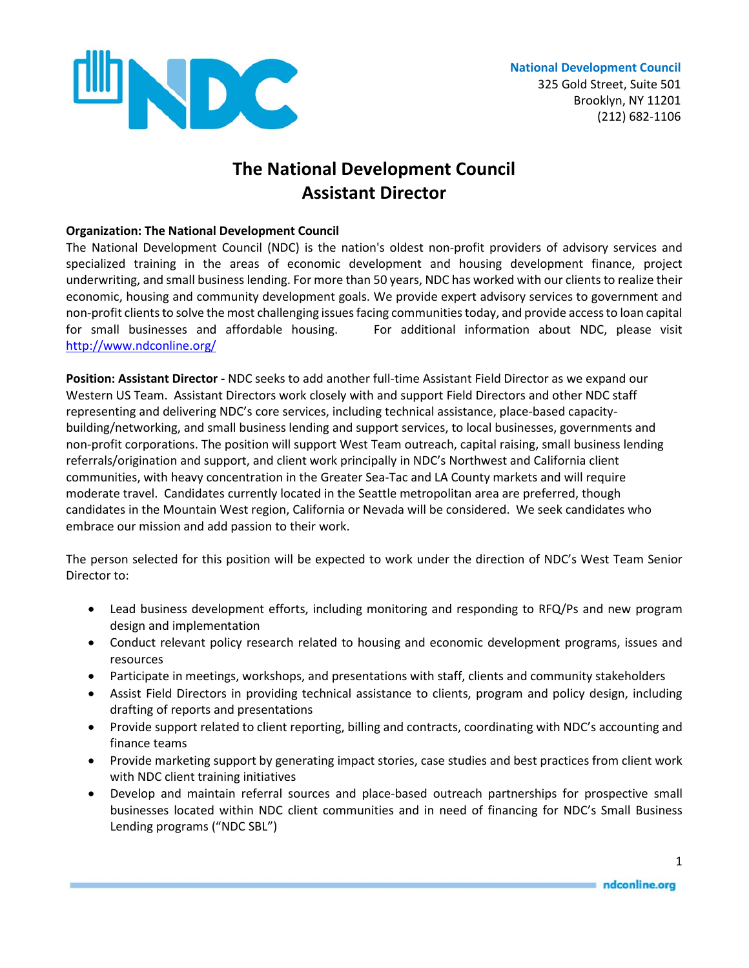

## **The National Development Council Assistant Director**

## **Organization: The National Development Council**

The National Development Council (NDC) is the nation's oldest non-profit providers of advisory services and specialized training in the areas of economic development and housing development finance, project underwriting, and small business lending. For more than 50 years, NDC has worked with our clients to realize their economic, housing and community development goals. We provide expert advisory services to government and non-profit clients to solve the most challenging issues facing communities today, and provide access to loan capital for small businesses and affordable housing. For additional information about NDC, please visit <http://www.ndconline.org/>

**Position: Assistant Director -** NDC seeks to add another full-time Assistant Field Director as we expand our Western US Team. Assistant Directors work closely with and support Field Directors and other NDC staff representing and delivering NDC's core services, including technical assistance, place-based capacitybuilding/networking, and small business lending and support services, to local businesses, governments and non-profit corporations. The position will support West Team outreach, capital raising, small business lending referrals/origination and support, and client work principally in NDC's Northwest and California client communities, with heavy concentration in the Greater Sea-Tac and LA County markets and will require moderate travel. Candidates currently located in the Seattle metropolitan area are preferred, though candidates in the Mountain West region, California or Nevada will be considered. We seek candidates who embrace our mission and add passion to their work.

The person selected for this position will be expected to work under the direction of NDC's West Team Senior Director to:

- Lead business development efforts, including monitoring and responding to RFQ/Ps and new program design and implementation
- Conduct relevant policy research related to housing and economic development programs, issues and resources
- Participate in meetings, workshops, and presentations with staff, clients and community stakeholders
- Assist Field Directors in providing technical assistance to clients, program and policy design, including drafting of reports and presentations
- Provide support related to client reporting, billing and contracts, coordinating with NDC's accounting and finance teams
- Provide marketing support by generating impact stories, case studies and best practices from client work with NDC client training initiatives
- Develop and maintain referral sources and place-based outreach partnerships for prospective small businesses located within NDC client communities and in need of financing for NDC's Small Business Lending programs ("NDC SBL")